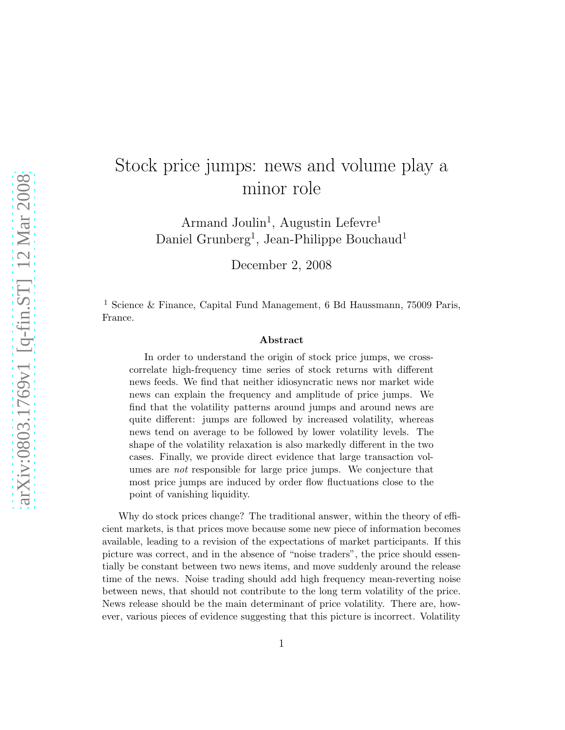## Stock price jumps: news and volume play a minor role

Armand Joulin<sup>1</sup>, Augustin Lefevre<sup>1</sup> Daniel Grunberg<sup>1</sup>, Jean-Philippe Bouchaud<sup>1</sup>

December 2, 2008

<sup>1</sup> Science & Finance, Capital Fund Management, 6 Bd Haussmann, 75009 Paris, France.

## Abstract

In order to understand the origin of stock price jumps, we crosscorrelate high-frequency time series of stock returns with different news feeds. We find that neither idiosyncratic news nor market wide news can explain the frequency and amplitude of price jumps. We find that the volatility patterns around jumps and around news are quite different: jumps are followed by increased volatility, whereas news tend on average to be followed by lower volatility levels. The shape of the volatility relaxation is also markedly different in the two cases. Finally, we provide direct evidence that large transaction volumes are *not* responsible for large price jumps. We conjecture that most price jumps are induced by order flow fluctuations close to the point of vanishing liquidity.

Why do stock prices change? The traditional answer, within the theory of efficient markets, is that prices move because some new piece of information becomes available, leading to a revision of the expectations of market participants. If this picture was correct, and in the absence of "noise traders", the price should essentially be constant between two news items, and move suddenly around the release time of the news. Noise trading should add high frequency mean-reverting noise between news, that should not contribute to the long term volatility of the price. News release should be the main determinant of price volatility. There are, however, various pieces of evidence suggesting that this picture is incorrect. Volatility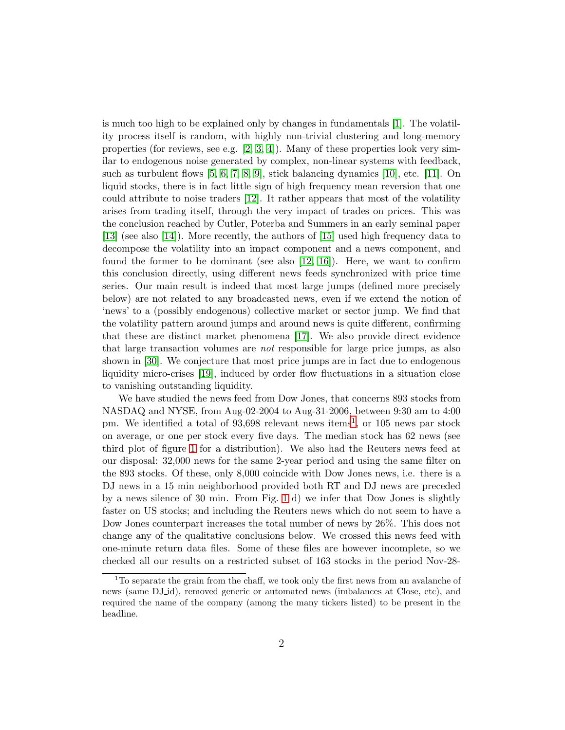is much too high to be explained only by changes in fundamentals [\[1\]](#page-10-0). The volatility process itself is random, with highly non-trivial clustering and long-memory properties (for reviews, see e.g.  $[2, 3, 4]$  $[2, 3, 4]$  $[2, 3, 4]$ ). Many of these properties look very similar to endogenous noise generated by complex, non-linear systems with feedback, such as turbulent flows [\[5,](#page-10-4) [6,](#page-10-5) [7,](#page-11-0) [8,](#page-11-1) [9\]](#page-11-2), stick balancing dynamics [\[10\]](#page-11-3), etc. [\[11\]](#page-11-4). On liquid stocks, there is in fact little sign of high frequency mean reversion that one could attribute to noise traders [\[12\]](#page-11-5). It rather appears that most of the volatility arises from trading itself, through the very impact of trades on prices. This was the conclusion reached by Cutler, Poterba and Summers in an early seminal paper [\[13\]](#page-11-6) (see also [\[14\]](#page-11-7)). More recently, the authors of [\[15\]](#page-11-8) used high frequency data to decompose the volatility into an impact component and a news component, and found the former to be dominant (see also [\[12,](#page-11-5) [16\]](#page-11-9)). Here, we want to confirm this conclusion directly, using different news feeds synchronized with price time series. Our main result is indeed that most large jumps (defined more precisely below) are not related to any broadcasted news, even if we extend the notion of 'news' to a (possibly endogenous) collective market or sector jump. We find that the volatility pattern around jumps and around news is quite different, confirming that these are distinct market phenomena [\[17\]](#page-11-10). We also provide direct evidence that large transaction volumes are *not* responsible for large price jumps, as also shown in [\[30\]](#page-13-0). We conjecture that most price jumps are in fact due to endogenous liquidity micro-crises [\[19\]](#page-12-0), induced by order flow fluctuations in a situation close to vanishing outstanding liquidity.

We have studied the news feed from Dow Jones, that concerns 893 stocks from NASDAQ and NYSE, from Aug-02-2004 to Aug-31-2006, between 9:30 am to 4:00 pm. We identified a total of  $93,698$  relevant news items<sup>[1](#page-1-0)</sup>, or 105 news par stock on average, or one per stock every five days. The median stock has 62 news (see third plot of figure [1](#page-3-0) for a distribution). We also had the Reuters news feed at our disposal: 32,000 news for the same 2-year period and using the same filter on the 893 stocks. Of these, only 8,000 coincide with Dow Jones news, i.e. there is a DJ news in a 15 min neighborhood provided both RT and DJ news are preceded by a news silence of 30 min. From Fig. [1](#page-3-0) d) we infer that Dow Jones is slightly faster on US stocks; and including the Reuters news which do not seem to have a Dow Jones counterpart increases the total number of news by 26%. This does not change any of the qualitative conclusions below. We crossed this news feed with one-minute return data files. Some of these files are however incomplete, so we checked all our results on a restricted subset of 163 stocks in the period Nov-28-

<span id="page-1-0"></span><sup>&</sup>lt;sup>1</sup>To separate the grain from the chaff, we took only the first news from an avalanche of news (same DJ id), removed generic or automated news (imbalances at Close, etc), and required the name of the company (among the many tickers listed) to be present in the headline.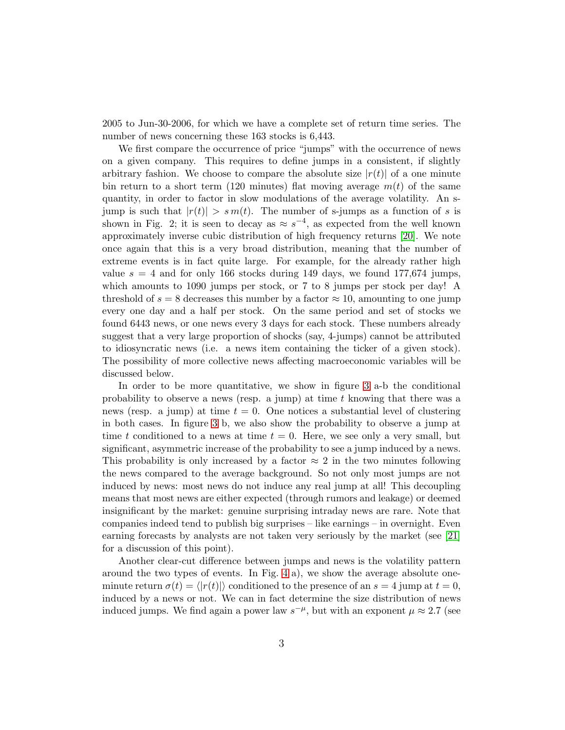2005 to Jun-30-2006, for which we have a complete set of return time series. The number of news concerning these 163 stocks is 6,443.

We first compare the occurrence of price "jumps" with the occurrence of news on a given company. This requires to define jumps in a consistent, if slightly arbitrary fashion. We choose to compare the absolute size  $|r(t)|$  of a one minute bin return to a short term (120 minutes) flat moving average  $m(t)$  of the same quantity, in order to factor in slow modulations of the average volatility. An sjump is such that  $|r(t)| > sm(t)$ . The number of s-jumps as a function of s is shown in Fig. 2; it is seen to decay as  $\approx s^{-4}$ , as expected from the well known approximately inverse cubic distribution of high frequency returns [\[20\]](#page-12-1). We note once again that this is a very broad distribution, meaning that the number of extreme events is in fact quite large. For example, for the already rather high value  $s = 4$  and for only 166 stocks during 149 days, we found 177,674 jumps, which amounts to 1090 jumps per stock, or 7 to 8 jumps per stock per day! A threshold of  $s = 8$  decreases this number by a factor  $\approx 10$ , amounting to one jump every one day and a half per stock. On the same period and set of stocks we found 6443 news, or one news every 3 days for each stock. These numbers already suggest that a very large proportion of shocks (say, 4-jumps) cannot be attributed to idiosyncratic news (i.e. a news item containing the ticker of a given stock). The possibility of more collective news affecting macroeconomic variables will be discussed below.

In order to be more quantitative, we show in figure [3](#page-5-0) a-b the conditional probability to observe a news (resp. a jump) at time  $t$  knowing that there was a news (resp. a jump) at time  $t = 0$ . One notices a substantial level of clustering in both cases. In figure [3](#page-5-0) b, we also show the probability to observe a jump at time t conditioned to a news at time  $t = 0$ . Here, we see only a very small, but significant, asymmetric increase of the probability to see a jump induced by a news. This probability is only increased by a factor  $\approx 2$  in the two minutes following the news compared to the average background. So not only most jumps are not induced by news: most news do not induce any real jump at all! This decoupling means that most news are either expected (through rumors and leakage) or deemed insignificant by the market: genuine surprising intraday news are rare. Note that companies indeed tend to publish big surprises – like earnings – in overnight. Even earning forecasts by analysts are not taken very seriously by the market (see [\[21\]](#page-12-2) for a discussion of this point).

Another clear-cut difference between jumps and news is the volatility pattern around the two types of events. In Fig. [4](#page-6-0) a), we show the average absolute oneminute return  $\sigma(t) = \langle |r(t)| \rangle$  conditioned to the presence of an  $s = 4$  jump at  $t = 0$ , induced by a news or not. We can in fact determine the size distribution of news induced jumps. We find again a power law  $s^{-\mu}$ , but with an exponent  $\mu \approx 2.7$  (see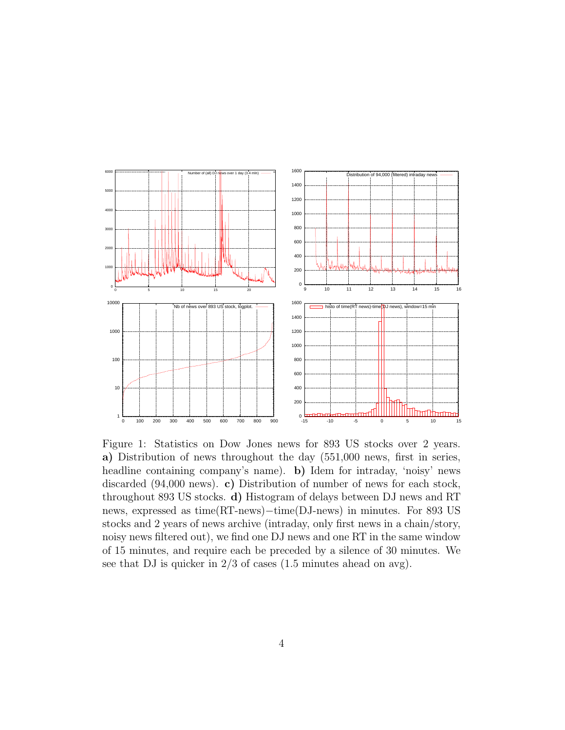

<span id="page-3-0"></span>Figure 1: Statistics on Dow Jones news for 893 US stocks over 2 years. a) Distribution of news throughout the day (551,000 news, first in series, headline containing company's name). **b**) Idem for intraday, 'noisy' news discarded (94,000 news). c) Distribution of number of news for each stock, throughout 893 US stocks. d) Histogram of delays between DJ news and RT news, expressed as time(RT-news)−time(DJ-news) in minutes. For 893 US stocks and 2 years of news archive (intraday, only first news in a chain/story, noisy news filtered out), we find one DJ news and one RT in the same window of 15 minutes, and require each be preceded by a silence of 30 minutes. We see that DJ is quicker in 2/3 of cases (1.5 minutes ahead on avg).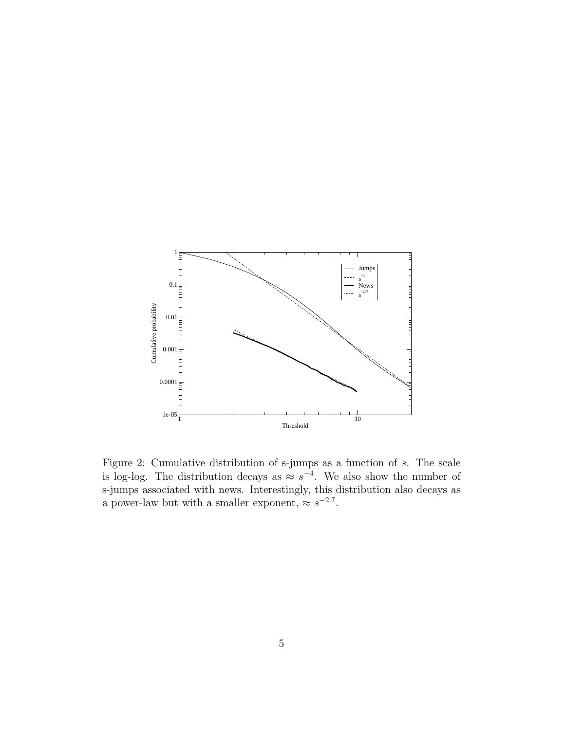

Figure 2: Cumulative distribution of s-jumps as a function of s. The scale is log-log. The distribution decays as  $\approx s^{-4}$ . We also show the number of s-jumps associated with news. Interestingly, this distribution also decays as a power-law but with a smaller exponent,  $\approx s^{-2.7}$ .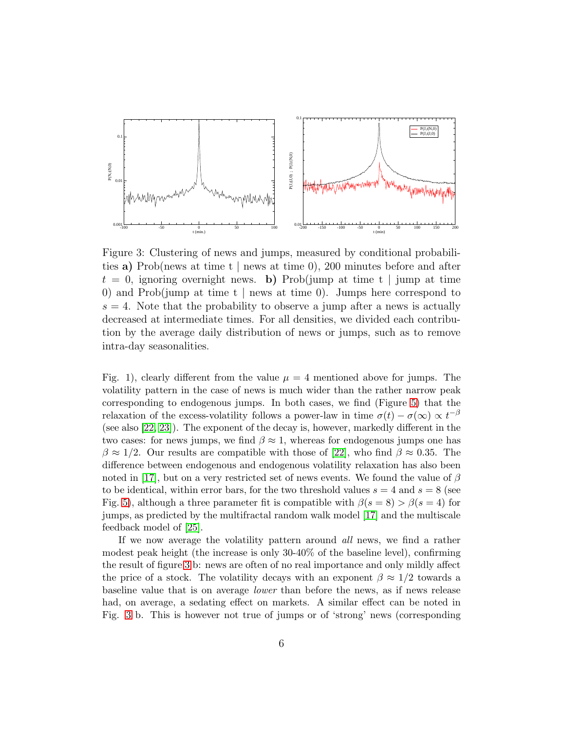

<span id="page-5-0"></span>Figure 3: Clustering of news and jumps, measured by conditional probabilities a) Prob(news at time t | news at time 0), 200 minutes before and after  $t = 0$ , ignoring overnight news. b) Prob(jump at time t | jump at time 0) and Prob(jump at time t | news at time 0). Jumps here correspond to  $s = 4$ . Note that the probability to observe a jump after a news is actually decreased at intermediate times. For all densities, we divided each contribution by the average daily distribution of news or jumps, such as to remove intra-day seasonalities.

Fig. 1), clearly different from the value  $\mu = 4$  mentioned above for jumps. The volatility pattern in the case of news is much wider than the rather narrow peak corresponding to endogenous jumps. In both cases, we find (Figure [5\)](#page-7-0) that the relaxation of the excess-volatility follows a power-law in time  $\sigma(t) - \sigma(\infty) \propto t^{-\beta}$ (see also [\[22,](#page-12-3) [23\]](#page-12-4)). The exponent of the decay is, however, markedly different in the two cases: for news jumps, we find  $\beta \approx 1$ , whereas for endogenous jumps one has  $\beta \approx 1/2$ . Our results are compatible with those of [\[22\]](#page-12-3), who find  $\beta \approx 0.35$ . The difference between endogenous and endogenous volatility relaxation has also been noted in [\[17\]](#page-11-10), but on a very restricted set of news events. We found the value of  $\beta$ to be identical, within error bars, for the two threshold values  $s = 4$  and  $s = 8$  (see Fig. [5\)](#page-7-0), although a three parameter fit is compatible with  $\beta(s=8) > \beta(s=4)$  for jumps, as predicted by the multifractal random walk model [\[17\]](#page-11-10) and the multiscale feedback model of [\[25\]](#page-12-5).

If we now average the volatility pattern around *all* news, we find a rather modest peak height (the increase is only 30-40% of the baseline level), confirming the result of figure [3](#page-5-0) b: news are often of no real importance and only mildly affect the price of a stock. The volatility decays with an exponent  $\beta \approx 1/2$  towards a baseline value that is on average *lower* than before the news, as if news release had, on average, a sedating effect on markets. A similar effect can be noted in Fig. [3](#page-5-0) b. This is however not true of jumps or of 'strong' news (corresponding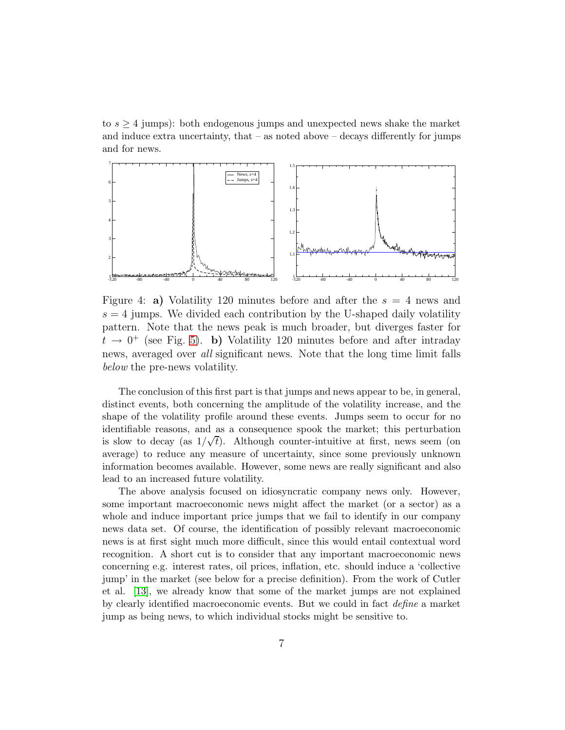to  $s \geq 4$  jumps): both endogenous jumps and unexpected news shake the market and induce extra uncertainty, that  $-$  as noted above  $-$  decays differently for jumps and for news.



<span id="page-6-0"></span>Figure 4: a) Volatility 120 minutes before and after the  $s = 4$  news and  $s = 4$  jumps. We divided each contribution by the U-shaped daily volatility pattern. Note that the news peak is much broader, but diverges faster for  $t \rightarrow 0^+$  (see Fig. [5\)](#page-7-0). b) Volatility 120 minutes before and after intraday news, averaged over all significant news. Note that the long time limit falls below the pre-news volatility.

The conclusion of this first part is that jumps and news appear to be, in general, distinct events, both concerning the amplitude of the volatility increase, and the shape of the volatility profile around these events. Jumps seem to occur for no identifiable reasons, and as a consequence spook the market; this perturbation is slow to decay (as  $1/\sqrt{t}$ ). Although counter-intuitive at first, news seem (on average) to reduce any measure of uncertainty, since some previously unknown information becomes available. However, some news are really significant and also lead to an increased future volatility.

The above analysis focused on idiosyncratic company news only. However, some important macroeconomic news might affect the market (or a sector) as a whole and induce important price jumps that we fail to identify in our company news data set. Of course, the identification of possibly relevant macroeconomic news is at first sight much more difficult, since this would entail contextual word recognition. A short cut is to consider that any important macroeconomic news concerning e.g. interest rates, oil prices, inflation, etc. should induce a 'collective jump' in the market (see below for a precise definition). From the work of Cutler et al. [\[13\]](#page-11-6), we already know that some of the market jumps are not explained by clearly identified macroeconomic events. But we could in fact *define* a market jump as being news, to which individual stocks might be sensitive to.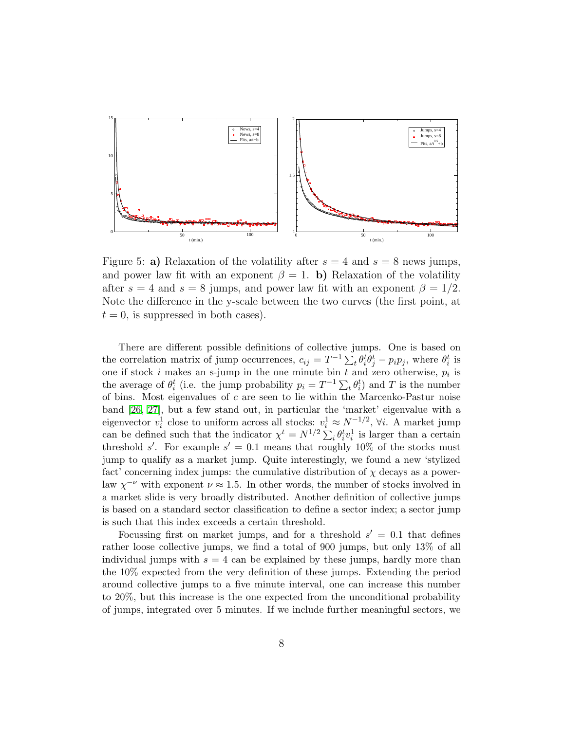

<span id="page-7-0"></span>Figure 5: a) Relaxation of the volatility after  $s = 4$  and  $s = 8$  news jumps, and power law fit with an exponent  $\beta = 1$ . b) Relaxation of the volatility after  $s = 4$  and  $s = 8$  jumps, and power law fit with an exponent  $\beta = 1/2$ . Note the difference in the y-scale between the two curves (the first point, at  $t = 0$ , is suppressed in both cases).

There are different possible definitions of collective jumps. One is based on the correlation matrix of jump occurrences,  $c_{ij} = T^{-1} \sum_{t} \theta_{i}^{t} \hat{\theta}_{j}^{t} - p_{i} p_{j}$ , where  $\theta_{i}^{t}$  is one if stock i makes an s-jump in the one minute bin  $t$  and zero otherwise,  $p_i$  is the average of  $\theta_i^t$  (i.e. the jump probability  $p_i = T^{-1} \sum_t \theta_i^t$ ) and T is the number of bins. Most eigenvalues of  $c$  are seen to lie within the Marcenko-Pastur noise band [\[26,](#page-12-6) [27\]](#page-12-7), but a few stand out, in particular the 'market' eigenvalue with a eigenvector  $v_i^1$  close to uniform across all stocks:  $v_i^1 \approx N^{-1/2}$ ,  $\forall i$ . A market jump can be defined such that the indicator  $\chi^t = N^{1/2} \sum_i \theta_i^t v_i^1$  is larger than a certain threshold s'. For example  $s' = 0.1$  means that roughly 10% of the stocks must jump to qualify as a market jump. Quite interestingly, we found a new 'stylized fact' concerning index jumps: the cumulative distribution of  $\chi$  decays as a powerlaw  $\chi^{-\nu}$  with exponent  $\nu \approx 1.5$ . In other words, the number of stocks involved in a market slide is very broadly distributed. Another definition of collective jumps is based on a standard sector classification to define a sector index; a sector jump is such that this index exceeds a certain threshold.

Focussing first on market jumps, and for a threshold  $s' = 0.1$  that defines rather loose collective jumps, we find a total of 900 jumps, but only 13% of all individual jumps with  $s = 4$  can be explained by these jumps, hardly more than the 10% expected from the very definition of these jumps. Extending the period around collective jumps to a five minute interval, one can increase this number to 20%, but this increase is the one expected from the unconditional probability of jumps, integrated over 5 minutes. If we include further meaningful sectors, we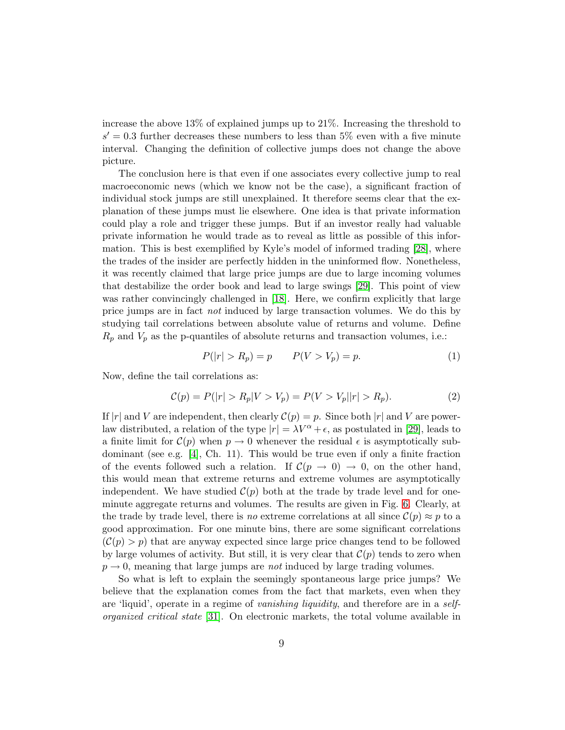increase the above 13% of explained jumps up to 21%. Increasing the threshold to  $s' = 0.3$  further decreases these numbers to less than 5% even with a five minute interval. Changing the definition of collective jumps does not change the above picture.

The conclusion here is that even if one associates every collective jump to real macroeconomic news (which we know not be the case), a significant fraction of individual stock jumps are still unexplained. It therefore seems clear that the explanation of these jumps must lie elsewhere. One idea is that private information could play a role and trigger these jumps. But if an investor really had valuable private information he would trade as to reveal as little as possible of this information. This is best exemplified by Kyle's model of informed trading [\[28\]](#page-12-8), where the trades of the insider are perfectly hidden in the uninformed flow. Nonetheless, it was recently claimed that large price jumps are due to large incoming volumes that destabilize the order book and lead to large swings [\[29\]](#page-12-9). This point of view was rather convincingly challenged in [\[18\]](#page-11-11). Here, we confirm explicitly that large price jumps are in fact *not* induced by large transaction volumes. We do this by studying tail correlations between absolute value of returns and volume. Define  $R_p$  and  $V_p$  as the p-quantiles of absolute returns and transaction volumes, i.e.:

$$
P(|r| > R_p) = p \t P(V > V_p) = p. \t (1)
$$

Now, define the tail correlations as:

$$
C(p) = P(|r| > R_p |V > V_p) = P(V > V_p ||r| > R_p).
$$
\n(2)

If |r| and V are independent, then clearly  $\mathcal{C}(p) = p$ . Since both |r| and V are powerlaw distributed, a relation of the type  $|r| = \lambda V^{\alpha} + \epsilon$ , as postulated in [\[29\]](#page-12-9), leads to a finite limit for  $\mathcal{C}(p)$  when  $p \to 0$  whenever the residual  $\epsilon$  is asymptotically subdominant (see e.g. [\[4\]](#page-10-3), Ch. 11). This would be true even if only a finite fraction of the events followed such a relation. If  $\mathcal{C}(p \rightarrow 0) \rightarrow 0$ , on the other hand, this would mean that extreme returns and extreme volumes are asymptotically independent. We have studied  $\mathcal{C}(p)$  both at the trade by trade level and for oneminute aggregate returns and volumes. The results are given in Fig. [6.](#page-9-0) Clearly, at the trade by trade level, there is *no* extreme correlations at all since  $C(p) \approx p$  to a good approximation. For one minute bins, there are some significant correlations  $(C(p) > p)$  that are anyway expected since large price changes tend to be followed by large volumes of activity. But still, it is very clear that  $\mathcal{C}(p)$  tends to zero when  $p \rightarrow 0$ , meaning that large jumps are *not* induced by large trading volumes.

So what is left to explain the seemingly spontaneous large price jumps? We believe that the explanation comes from the fact that markets, even when they are 'liquid', operate in a regime of *vanishing liquidity*, and therefore are in a *selforganized critical state* [\[31\]](#page-13-1). On electronic markets, the total volume available in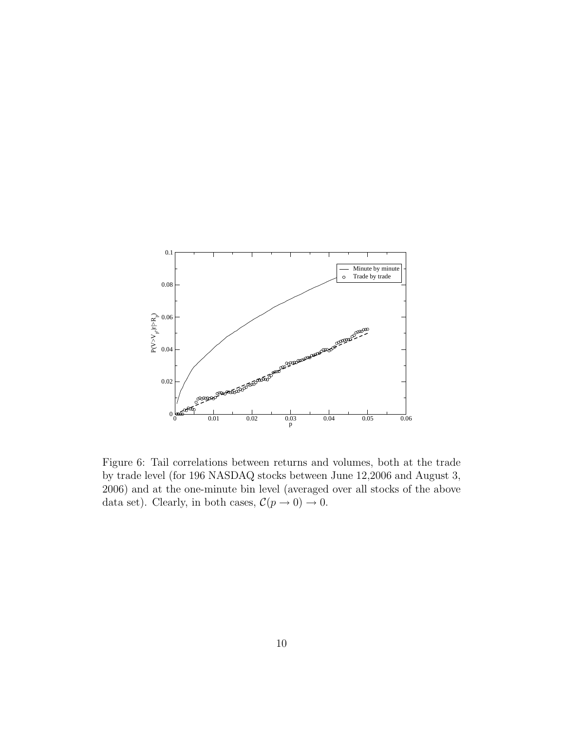

<span id="page-9-0"></span>Figure 6: Tail correlations between returns and volumes, both at the trade by trade level (for 196 NASDAQ stocks between June 12,2006 and August 3, 2006) and at the one-minute bin level (averaged over all stocks of the above data set). Clearly, in both cases,  $\mathcal{C}(p \to 0) \to 0$ .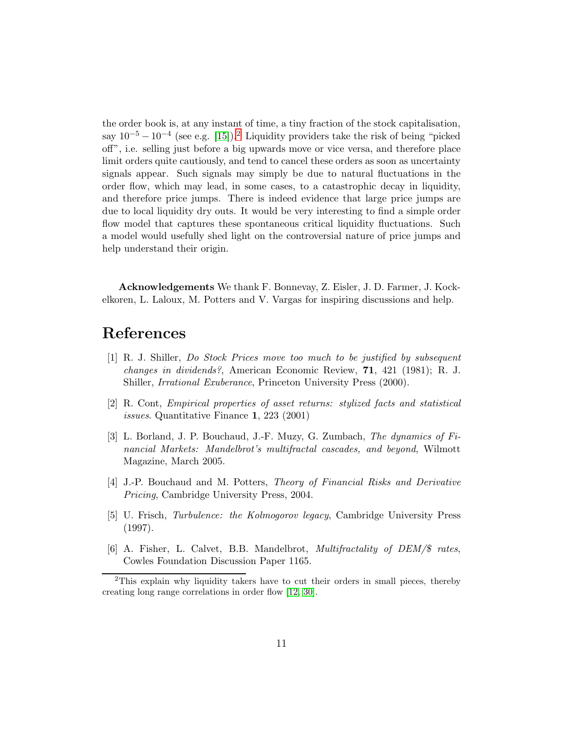the order book is, at any instant of time, a tiny fraction of the stock capitalisation, say  $10^{-5} - 10^{-4}$  (see e.g. [\[15\]](#page-11-8)).<sup>[2](#page-10-6)</sup> Liquidity providers take the risk of being "picked" off", i.e. selling just before a big upwards move or vice versa, and therefore place limit orders quite cautiously, and tend to cancel these orders as soon as uncertainty signals appear. Such signals may simply be due to natural fluctuations in the order flow, which may lead, in some cases, to a catastrophic decay in liquidity, and therefore price jumps. There is indeed evidence that large price jumps are due to local liquidity dry outs. It would be very interesting to find a simple order flow model that captures these spontaneous critical liquidity fluctuations. Such a model would usefully shed light on the controversial nature of price jumps and help understand their origin.

Acknowledgements We thank F. Bonnevay, Z. Eisler, J. D. Farmer, J. Kockelkoren, L. Laloux, M. Potters and V. Vargas for inspiring discussions and help.

## <span id="page-10-0"></span>References

- [1] R. J. Shiller, *Do Stock Prices move too much to be justified by subsequent changes in dividends?*, American Economic Review, 71, 421 (1981); R. J. Shiller, *Irrational Exuberance*, Princeton University Press (2000).
- <span id="page-10-1"></span>[2] R. Cont, *Empirical properties of asset returns: stylized facts and statistical issues*. Quantitative Finance 1, 223 (2001)
- <span id="page-10-2"></span>[3] L. Borland, J. P. Bouchaud, J.-F. Muzy, G. Zumbach, *The dynamics of Financial Markets: Mandelbrot's multifractal cascades, and beyond*, Wilmott Magazine, March 2005.
- <span id="page-10-3"></span>[4] J.-P. Bouchaud and M. Potters, *Theory of Financial Risks and Derivative Pricing*, Cambridge University Press, 2004.
- <span id="page-10-4"></span>[5] U. Frisch, *Turbulence: the Kolmogorov legacy*, Cambridge University Press (1997).
- <span id="page-10-5"></span>[6] A. Fisher, L. Calvet, B.B. Mandelbrot, *Multifractality of DEM/*\$ *rates*, Cowles Foundation Discussion Paper 1165.

<span id="page-10-6"></span><sup>&</sup>lt;sup>2</sup>This explain why liquidity takers have to cut their orders in small pieces, thereby creating long range correlations in order flow [\[12,](#page-11-5) [30\]](#page-13-0).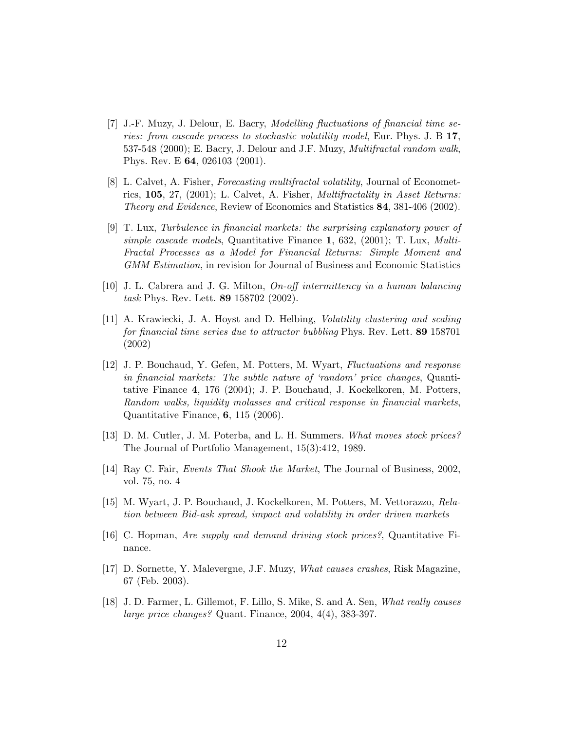- <span id="page-11-0"></span>[7] J.-F. Muzy, J. Delour, E. Bacry, *Modelling fluctuations of financial time series: from cascade process to stochastic volatility model*, Eur. Phys. J. B 17, 537-548 (2000); E. Bacry, J. Delour and J.F. Muzy, *Multifractal random walk*, Phys. Rev. E 64, 026103 (2001).
- <span id="page-11-1"></span>[8] L. Calvet, A. Fisher, *Forecasting multifractal volatility*, Journal of Econometrics, 105, 27, (2001); L. Calvet, A. Fisher, *Multifractality in Asset Returns: Theory and Evidence*, Review of Economics and Statistics 84, 381-406 (2002).
- <span id="page-11-2"></span>[9] T. Lux, *Turbulence in financial markets: the surprising explanatory power of simple cascade models*, Quantitative Finance 1, 632, (2001); T. Lux, *Multi-Fractal Processes as a Model for Financial Returns: Simple Moment and GMM Estimation*, in revision for Journal of Business and Economic Statistics
- <span id="page-11-3"></span>[10] J. L. Cabrera and J. G. Milton, *On-off intermittency in a human balancing task* Phys. Rev. Lett. 89 158702 (2002).
- <span id="page-11-4"></span>[11] A. Krawiecki, J. A. Hoyst and D. Helbing, *Volatility clustering and scaling for financial time series due to attractor bubbling* Phys. Rev. Lett. 89 158701 (2002)
- <span id="page-11-5"></span>[12] J. P. Bouchaud, Y. Gefen, M. Potters, M. Wyart, *Fluctuations and response in financial markets: The subtle nature of 'random' price changes*, Quantitative Finance 4, 176 (2004); J. P. Bouchaud, J. Kockelkoren, M. Potters, *Random walks, liquidity molasses and critical response in financial markets*, Quantitative Finance, 6, 115 (2006).
- <span id="page-11-6"></span>[13] D. M. Cutler, J. M. Poterba, and L. H. Summers. *What moves stock prices?* The Journal of Portfolio Management, 15(3):412, 1989.
- <span id="page-11-8"></span><span id="page-11-7"></span>[14] Ray C. Fair, *Events That Shook the Market*, The Journal of Business, 2002, vol. 75, no. 4
- [15] M. Wyart, J. P. Bouchaud, J. Kockelkoren, M. Potters, M. Vettorazzo, *Relation between Bid-ask spread, impact and volatility in order driven markets*
- <span id="page-11-10"></span><span id="page-11-9"></span>[16] C. Hopman, *Are supply and demand driving stock prices?*, Quantitative Finance.
- [17] D. Sornette, Y. Malevergne, J.F. Muzy, *What causes crashes*, Risk Magazine, 67 (Feb. 2003).
- <span id="page-11-11"></span>[18] J. D. Farmer, L. Gillemot, F. Lillo, S. Mike, S. and A. Sen, *What really causes large price changes?* Quant. Finance, 2004, 4(4), 383-397.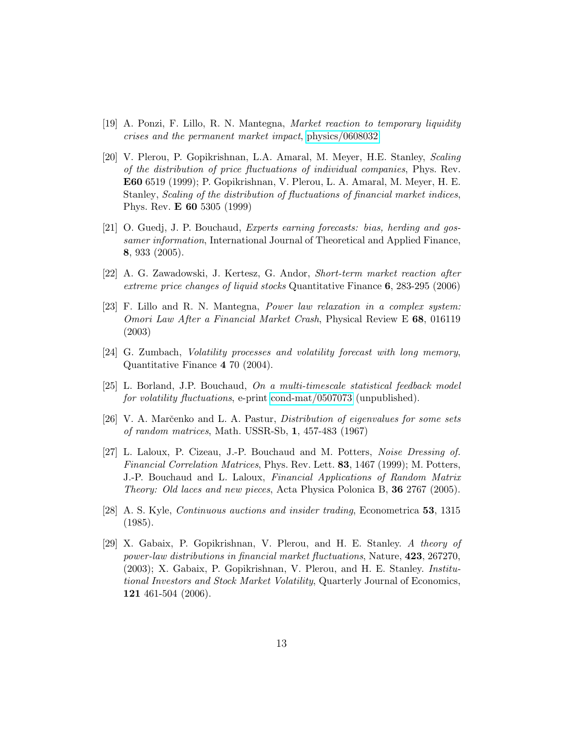- <span id="page-12-1"></span><span id="page-12-0"></span>[19] A. Ponzi, F. Lillo, R. N. Mantegna, *Market reaction to temporary liquidity crises and the permanent market impact*, [physics/0608032](http://arXiv.org/abs/physics/0608032)
- [20] V. Plerou, P. Gopikrishnan, L.A. Amaral, M. Meyer, H.E. Stanley, *Scaling of the distribution of price fluctuations of individual companies*, Phys. Rev. E60 6519 (1999); P. Gopikrishnan, V. Plerou, L. A. Amaral, M. Meyer, H. E. Stanley, *Scaling of the distribution of fluctuations of financial market indices*, Phys. Rev. E 60 5305 (1999)
- <span id="page-12-2"></span>[21] O. Guedj, J. P. Bouchaud, *Experts earning forecasts: bias, herding and gossamer information*, International Journal of Theoretical and Applied Finance, 8, 933 (2005).
- <span id="page-12-4"></span><span id="page-12-3"></span>[22] A. G. Zawadowski, J. Kertesz, G. Andor, *Short-term market reaction after extreme price changes of liquid stocks* Quantitative Finance 6, 283-295 (2006)
- [23] F. Lillo and R. N. Mantegna, *Power law relaxation in a complex system: Omori Law After a Financial Market Crash*, Physical Review E 68, 016119 (2003)
- <span id="page-12-5"></span>[24] G. Zumbach, *Volatility processes and volatility forecast with long memory*, Quantitative Finance 4 70 (2004).
- <span id="page-12-6"></span>[25] L. Borland, J.P. Bouchaud, *On a multi-timescale statistical feedback model for volatility fluctuations*, e-print [cond-mat/0507073](http://arXiv.org/abs/cond-mat/0507073) (unpublished).
- <span id="page-12-7"></span>[26] V. A. Marˇcenko and L. A. Pastur, *Distribution of eigenvalues for some sets of random matrices*, Math. USSR-Sb, 1, 457-483 (1967)
- [27] L. Laloux, P. Cizeau, J.-P. Bouchaud and M. Potters, *Noise Dressing of. Financial Correlation Matrices*, Phys. Rev. Lett. 83, 1467 (1999); M. Potters, J.-P. Bouchaud and L. Laloux, *Financial Applications of Random Matrix Theory: Old laces and new pieces*, Acta Physica Polonica B, 36 2767 (2005).
- <span id="page-12-8"></span>[28] A. S. Kyle, *Continuous auctions and insider trading*, Econometrica 53, 1315 (1985).
- <span id="page-12-9"></span>[29] X. Gabaix, P. Gopikrishnan, V. Plerou, and H. E. Stanley. *A theory of power-law distributions in financial market fluctuations*, Nature, 423, 267270, (2003); X. Gabaix, P. Gopikrishnan, V. Plerou, and H. E. Stanley. *Institutional Investors and Stock Market Volatility*, Quarterly Journal of Economics, 121 461-504 (2006).